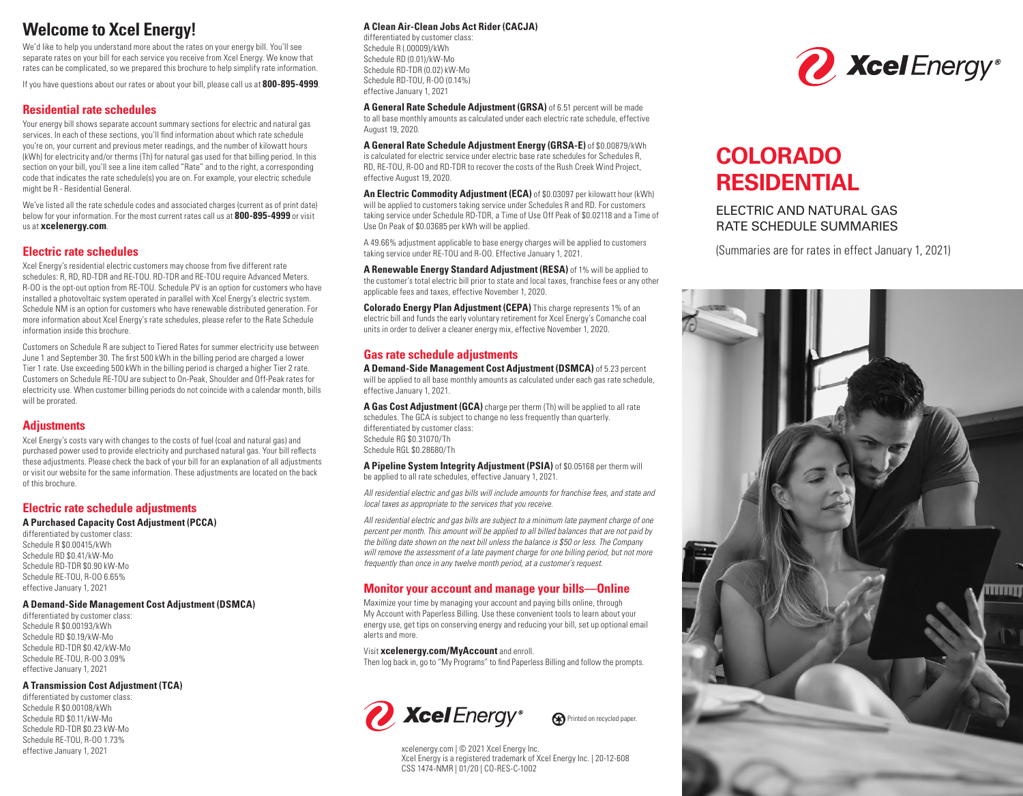# **Welcome to Xcel Energy!**

We'd like to help you understand more about the rates on your energy bill. You'll see separate rates on your bill for each service you receive from Xcel Energy. We know that rates can be complicated, so we prepared this brochure to help simplify rate information.

If you have questions about our rates or about your bill, please call us at **800-895-4999**.

# **Residential rate schedules**

Your energy bill shows separate account summary sections for electric and natural gas services. In each of these sections, you'll find information about which rate schedule you're on, your current and previous meter readings, and the number of kilowatt hours (kWh) for electricity and/or therms (Th) for natural gas used for that billing period. In this section on your bill, you'll see a line item called "Rate" and to the right, a corresponding code that indicates the rate schedule(s) you are on. For example, your electric schedule might be R - Residential General.

We've listed all the rate schedule codes and associated charges (current as of print date) below for your information. For the most current rates call us at **800-895-4999** or visit us at **xcelenergy.com**.

## **Electric rate schedules**

Xcel Energy's residential electric customers may choose from five different rate schedules: R, RD, RD-TDR and RE-TOU. RD-TDR and RE-TOU require Advanced Meters. R-OO is the opt-out option from RE-TOU. Schedule PV is an option for customers who have installed a photovoltaic system operated in parallel with Xcel Energy's electric system. Schedule NM is an option for customers who have renewable distributed generation. For more information about Xcel Energy's rate schedules, please refer to the Rate Schedule information inside this brochure.

Customers on Schedule R are subject to Tiered Rates for summer electricity use between June 1 and September 30. The first 500 kWh in the billing period are charged a lower Tier 1 rate. Use exceeding 500 kWh in the billing period is charged a higher Tier 2 rate. Customers on Schedule RE-TOU are subject to On-Peak, Shoulder and Off-Peak rates for electricity use. When customer billing periods do not coincide with a calendar month, bills will be prorated.

## **Adjustments**

Xcel Energy's costs vary with changes to the costs of fuel (coal and natural gas) and purchased power used to provide electricity and purchased natural gas. Your bill reflects these adjustments. Please check the back of your bill for an explanation of all adjustments or visit our website for the same information. These adjustments are located on the back of this brochure.

## **Electric rate schedule adjustments**

#### **A Purchased Capacity Cost Adjustment (PCCA)**

differentiated by customer class: Schedule R \$0.00415/kWh Schedule RD \$0.41/kW-Mo Schedule RD-TDR \$0.90 kW-Mo Schedule RE-TOU, B-00.6.65% effective January 1, 2021

#### **A Demand-Side Management Cost Adjustment (DSMCA)**

differentiated by customer class: Schedule R \$0.00193/kWh Schedule RD \$0.19/kW-Mo Schedule RD-TDR \$0.42/kW-Mo Schedule RE-TOU, R-OO 3.09% effective January 1, 2021

#### **A Transmission Cost Adjustment (TCA)**

differentiated by customer class: Schedule R \$0.00108/kWh Schedule RD \$0.11/kW-Mo Schedule RD-TDR \$0.23 kW-Mo Schedule RE-TOU, R-OO 1.73%

#### **A Clean Air-Clean Jobs Act Rider (CACJA)**

differentiated by customer class: Schedule R (.00009)/kWh Schedule RD (0.01)/kW-Mo Schedule RD-TDR (0.02) kW-Mo Schedule RD-TOU, R-OO (0.14%) effective January 1, 2021

**A General Rate Schedule Adjustment (GRSA)** of 6.51 percent will be made to all base monthly amounts as calculated under each electric rate schedule, effective August 19, 2020.

**A General Rate Schedule Adjustment Energy (GRSA-E)** of \$0.00879/kWh is calculated for electric service under electric base rate schedules for Schedules R, RD, RE-TOU, R-OO and RD-TDR to recover the costs of the Rush Creek Wind Project, effective August 19, 2020.

**An Electric Commodity Adjustment (ECA)** of \$0.03097 per kilowatt hour (kWh) will be applied to customers taking service under Schedules R and RD. For customers taking service under Schedule RD-TDR, a Time of Use Off Peak of \$0.02118 and a Time of Use On Peak of \$0.03685 per kWh will be applied.

A 49.66% adjustment applicable to base energy charges will be applied to customers taking service under RE-TOU and R-OO. Effective January 1, 2021.

**A Renewable Energy Standard Adjustment (RESA)** of 1% will be applied to the customer's total electric bill prior to state and local taxes, franchise fees or any other applicable fees and taxes, effective November 1, 2020.

**Colorado Energy Plan Adjustment (CEPA)** This charge represents 1% of an electric bill and funds the early voluntary retirement for Xcel Energy's Comanche coal units in order to deliver a cleaner energy mix, effective November 1, 2020.

# **Gas rate schedule adjustments**

**A Demand-Side Management Cost Adjustment (DSMCA)** of 5.23 percent will be applied to all base monthly amounts as calculated under each gas rate schedule, effective January 1, 2021.

**A Gas Cost Adjustment (GCA)** charge per therm (Th) will be applied to all rate schedules. The GCA is subject to change no less frequently than quarterly. differentiated by customer class: Schedule RG \$0.31070/Th Schedule RGL \$0.28680/Th

**A Pipeline System Integrity Adjustment (PSIA)** of \$0.05168 per therm will be applied to all rate schedules, effective January 1, 2021.

*All residential electric and gas bills will include amounts for franchise fees, and state and local taxes as appropriate to the services that you receive.*

*All residential electric and gas bills are subject to a minimum late payment charge of one percent per month. This amount will be applied to all billed balances that are not paid by the billing date shown on the next bill unless the balance is \$50 or less. The Company will remove the assessment of a late payment charge for one billing period, but not more frequently than once in any twelve month period, at a customer's request.*

## **Monitor your account and manage your bills—Online**

Maximize your time by managing your account and paying bills online, through My Account with Paperless Billing. Use these convenient tools to learn about your energy use, get tips on conserving energy and reducing your bill, set up optional email alerts and more.

Visit **xcelenergy.com/MyAccount** and enroll.

Then log back in, go to "My Programs" to find Paperless Billing and follow the prompts.



Printed on recycled paper

effective January 1, 2021 xcelenergy.com | © 2021 Xcel Energy Inc. Xcel Energy is a registered trademark of Xcel Energy Inc. | 20-12-608 CSS 1474-NMR | 01/20 | CO-RES-C-1002



# **COLORADO RESIDENTIAL**

ELECTRIC AND NATURAL GAS RATE SCHEDULE SUMMARIES

(Summaries are for rates in effect January 1, 2021)